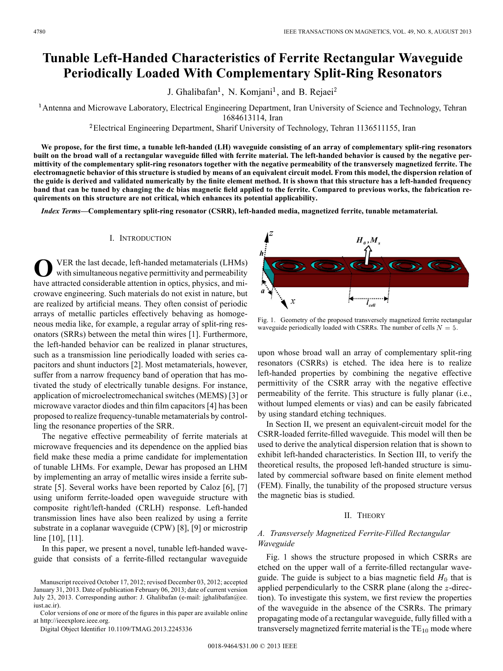# **Tunable Left-Handed Characteristics of Ferrite Rectangular Waveguide Periodically Loaded With Complementary Split-Ring Resonators**

J. Ghalibafan<sup>1</sup>, N. Komjani<sup>1</sup>, and B. Rejaei<sup>2</sup>

<sup>1</sup> Antenna and Microwave Laboratory, Electrical Engineering Department, Iran University of Science and Technology, Tehran

1684613114, Iran

Electrical Engineering Department, Sharif University of Technology, Tehran 1136511155, Iran

**We propose, for the first time, a tunable left-handed (LH) waveguide consisting of an array of complementary split-ring resonators built on the broad wall of a rectangular waveguide filled with ferrite material. The left-handed behavior is caused by the negative permittivity of the complementary split-ring resonators together with the negative permeability of the transversely magnetized ferrite. The electromagnetic behavior of this structure is studied by means of an equivalent circuit model. From this model, the dispersion relation of the guide is derived and validated numerically by the finite element method. It is shown that this structure has a left-handed frequency band that can be tuned by changing the dc bias magnetic field applied to the ferrite. Compared to previous works, the fabrication requirements on this structure are not critical, which enhances its potential applicability.**

*Index Terms—***Complementary split-ring resonator (CSRR), left-handed media, magnetized ferrite, tunable metamaterial.**

## I. INTRODUCTION

**O**VER the last decade, left-handed metamaterials (LHMs) with simultaneous negative permittivity and permeability have attracted considerable attention in optics, physics, and microwave engineering. Such materials do not exist in nature, but are realized by artificial means. They often consist of periodic arrays of metallic particles effectively behaving as homogeneous media like, for example, a regular array of split-ring resonators (SRRs) between the metal thin wires [1]. Furthermore, the left-handed behavior can be realized in planar structures, such as a transmission line periodically loaded with series capacitors and shunt inductors [2]. Most metamaterials, however, suffer from a narrow frequency band of operation that has motivated the study of electrically tunable designs. For instance, application of microelectromechanical switches (MEMS) [3] or microwave varactor diodes and thin film capacitors [4] has been proposed to realize frequency-tunable metamaterials by controlling the resonance properties of the SRR.

The negative effective permeability of ferrite materials at microwave frequencies and its dependence on the applied bias field make these media a prime candidate for implementation of tunable LHMs. For example, Dewar has proposed an LHM by implementing an array of metallic wires inside a ferrite substrate [5]. Several works have been reported by Caloz [6], [7] using uniform ferrite-loaded open waveguide structure with composite right/left-handed (CRLH) response. Left-handed transmission lines have also been realized by using a ferrite substrate in a coplanar waveguide (CPW) [8], [9] or microstrip line [10], [11].

In this paper, we present a novel, tunable left-handed waveguide that consists of a ferrite-filled rectangular waveguide

Color versions of one or more of the figures in this paper are available online at http://ieeexplore.ieee.org.

Digital Object Identifier 10.1109/TMAG.2013.2245336



Fig. 1. Geometry of the proposed transversely magnetized ferrite rectangular waveguide periodically loaded with CSRRs. The number of cells  $N = 5$ .

upon whose broad wall an array of complementary split-ring resonators (CSRRs) is etched. The idea here is to realize left-handed properties by combining the negative effective permittivity of the CSRR array with the negative effective permeability of the ferrite. This structure is fully planar (i.e., without lumped elements or vias) and can be easily fabricated by using standard etching techniques.

In Section II, we present an equivalent-circuit model for the CSRR-loaded ferrite-filled waveguide. This model will then be used to derive the analytical dispersion relation that is shown to exhibit left-handed characteristics. In Section III, to verify the theoretical results, the proposed left-handed structure is simulated by commercial software based on finite element method (FEM). Finally, the tunability of the proposed structure versus the magnetic bias is studied.

## II. THEORY

# *A. Transversely Magnetized Ferrite-Filled Rectangular Waveguide*

Fig. 1 shows the structure proposed in which CSRRs are etched on the upper wall of a ferrite-filled rectangular waveguide. The guide is subject to a bias magnetic field  $H_0$  that is applied perpendicularly to the CSRR plane (along the  $z$ -direction). To investigate this system, we first review the properties of the waveguide in the absence of the CSRRs. The primary propagating mode of a rectangular waveguide, fully filled with a transversely magnetized ferrite material is the  $TE_{10}$  mode where

Manuscript received October 17, 2012; revised December 03, 2012; accepted January 31, 2013. Date of publication February 06, 2013; date of current version July 23, 2013. Corresponding author: J. Ghalibafan (e-mail: jghalibafan@ee. iust.ac.ir).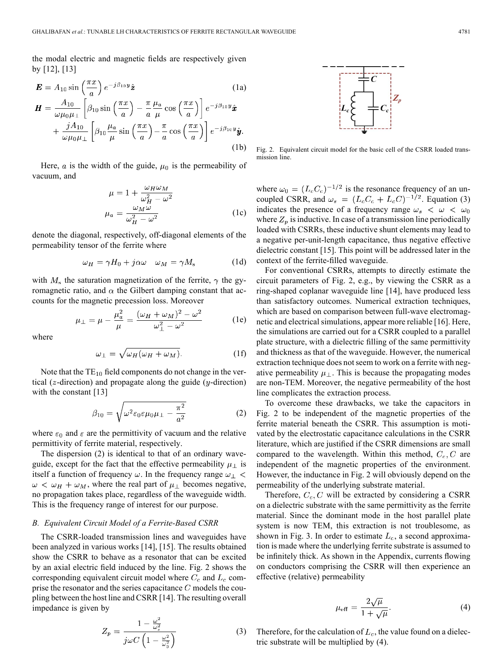the modal electric and magnetic fields are respectively given by [12], [13]

$$
\mathbf{E} = A_{10} \sin\left(\frac{\pi x}{a}\right) e^{-j\beta_{10}y} \hat{\mathbf{z}}
$$
(1a)  

$$
\mathbf{H} = \frac{A_{10}}{\omega\mu_0\mu_{\perp}} \left[\beta_{10} \sin\left(\frac{\pi x}{a}\right) - \frac{\pi}{a} \frac{\mu_a}{\mu} \cos\left(\frac{\pi x}{a}\right)\right] e^{-j\beta_{10}y} \hat{\mathbf{x}}
$$

$$
+ \frac{jA_{10}}{\omega\mu_0\mu_{\perp}} \left[\beta_{10} \frac{\mu_a}{\mu} \sin\left(\frac{\pi x}{a}\right) - \frac{\pi}{a} \cos\left(\frac{\pi x}{a}\right)\right] e^{-j\beta_{10}y} \hat{\mathbf{y}}.
$$
(1b)

Here,  $\alpha$  is the width of the guide,  $\mu_0$  is the permeability of vacuum, and

$$
\mu = 1 + \frac{\omega_H \omega_M}{\omega_H^2 - \omega^2}
$$

$$
\mu_a = \frac{\omega_M \omega}{\omega_H^2 - \omega^2}
$$
(1c)

denote the diagonal, respectively, off-diagonal elements of the permeability tensor of the ferrite where

$$
\omega_H = \gamma H_0 + j\alpha\omega \quad \omega_M = \gamma M_s \tag{1d}
$$

with  $M<sub>s</sub>$  the saturation magnetization of the ferrite,  $\gamma$  the gyromagnetic ratio, and  $\alpha$  the Gilbert damping constant that accounts for the magnetic precession loss. Moreover

$$
\mu_{\perp} = \mu - \frac{\mu_a^2}{\mu} = \frac{(\omega_H + \omega_M)^2 - \omega^2}{\omega_{\perp}^2 - \omega^2} \tag{1e}
$$

where

$$
\omega_{\perp} = \sqrt{\omega_H (\omega_H + \omega_M)}.
$$
 (1f)

Note that the  $TE_{10}$  field components do not change in the vertical ( $z$ -direction) and propagate along the guide ( $y$ -direction) with the constant [13]

$$
\beta_{10} = \sqrt{\omega^2 \varepsilon_0 \varepsilon \mu_0 \mu_\perp - \frac{\pi^2}{a^2}} \tag{2}
$$

where  $\varepsilon_0$  and  $\varepsilon$  are the permittivity of vacuum and the relative permittivity of ferrite material, respectively.

The dispersion (2) is identical to that of an ordinary waveguide, except for the fact that the effective permeability  $\mu_{\perp}$  is itself a function of frequency  $\omega$ . In the frequency range  $\omega_{\perp}$  <  $\omega < \omega_H + \omega_M$ , where the real part of  $\mu_{\perp}$  becomes negative, no propagation takes place, regardless of the waveguide width. This is the frequency range of interest for our purpose.

## *B. Equivalent Circuit Model of a Ferrite-Based CSRR*

The CSRR-loaded transmission lines and waveguides have been analyzed in various works [14], [15]. The results obtained show the CSRR to behave as a resonator that can be excited by an axial electric field induced by the line. Fig. 2 shows the corresponding equivalent circuit model where  $C_c$  and  $L_c$  comprise the resonator and the series capacitance  $C$  models the coupling between the host line and CSRR [14]. The resulting overall impedance is given by

$$
Z_p = \frac{1 - \frac{\omega^2}{\omega_s^2}}{j\omega C \left(1 - \frac{\omega^2}{\omega_0^2}\right)}\tag{3}
$$



Fig. 2. Equivalent circuit model for the basic cell of the CSRR loaded transmission line.

where  $\omega_0 = (L_c C_c)^{-1/2}$  is the resonance frequency of an uncoupled CSRR, and  $\omega_s = (L_c C_c + L_c C)^{-1/2}$ . Equation (3) indicates the presence of a frequency range  $\omega_s < \omega < \omega_0$ where  $Z_p$  is inductive. In case of a transmission line periodically loaded with CSRRs, these inductive shunt elements may lead to a negative per-unit-length capacitance, thus negative effective dielectric constant [15]. This point will be addressed later in the context of the ferrite-filled waveguide.

For conventional CSRRs, attempts to directly estimate the circuit parameters of Fig. 2, e.g., by viewing the CSRR as a ring-shaped coplanar waveguide line [14], have produced less than satisfactory outcomes. Numerical extraction techniques, which are based on comparison between full-wave electromagnetic and electrical simulations, appear more reliable [16]. Here, the simulations are carried out for a CSRR coupled to a parallel plate structure, with a dielectric filling of the same permittivity and thickness as that of the waveguide. However, the numerical extraction technique does not seem to work on a ferrite with negative permeability  $\mu_{\perp}$ . This is because the propagating modes are non-TEM. Moreover, the negative permeability of the host line complicates the extraction process.

To overcome these drawbacks, we take the capacitors in Fig. 2 to be independent of the magnetic properties of the ferrite material beneath the CSRR. This assumption is motivated by the electrostatic capacitance calculations in the CSRR literature, which are justified if the CSRR dimensions are small compared to the wavelength. Within this method,  $C_c$ ,  $C$  are independent of the magnetic properties of the environment. However, the inductance in Fig. 2 will obviously depend on the permeability of the underlying substrate material.

Therefore,  $C_c$ , C will be extracted by considering a CSRR on a dielectric substrate with the same permittivity as the ferrite material. Since the dominant mode in the host parallel plate system is now TEM, this extraction is not troublesome, as shown in Fig. 3. In order to estimate  $L_c$ , a second approximation is made where the underlying ferrite substrate is assumed to be infinitely thick. As shown in the Appendix, currents flowing on conductors comprising the CSRR will then experience an effective (relative) permeability

$$
\mu_{\text{eff}} = \frac{2\sqrt{\mu}}{1 + \sqrt{\mu}}.\tag{4}
$$

Therefore, for the calculation of  $L_c$ , the value found on a dielectric substrate will be multiplied by (4).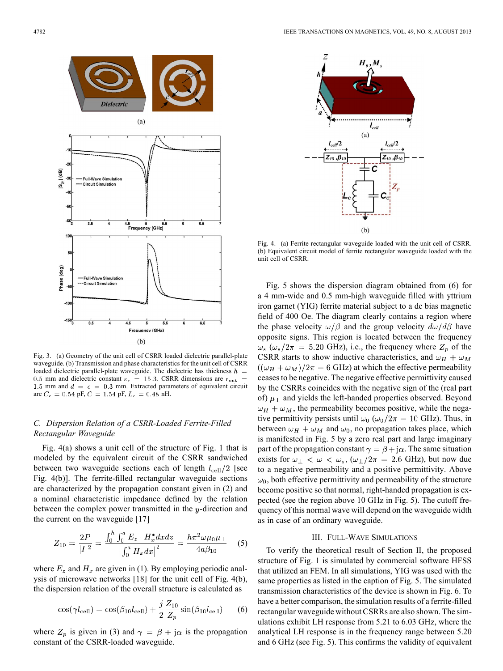

Fig. 3. (a) Geometry of the unit cell of CSRR loaded dielectric parallel-plate waveguide. (b) Transmission and phase characteristics for the unit cell of CSRR loaded dielectric parallel-plate waveguide. The dielectric has thickness  $h =$ 0.5 mm and dielectric constant  $\varepsilon$ <sub>r</sub> = 15.3. CSRR dimensions are  $r_{\text{out}}$  = 1.5 mm and  $d = c = 0.3$  mm. Extracted parameters of equivalent circuit are  $C_e=0.54$  pF,  $C=1.54$  pF,  $L_e=0.48$  nH.  $\,$ 

# *C. Dispersion Relation of a CSRR-Loaded Ferrite-Filled Rectangular Waveguide*

Fig. 4(a) shows a unit cell of the structure of Fig. 1 that is modeled by the equivalent circuit of the CSRR sandwiched between two waveguide sections each of length  $l_{\text{cell}}/2$  [see Fig. 4(b)]. The ferrite-filled rectangular waveguide sections are characterized by the propagation constant given in (2) and a nominal characteristic impedance defined by the relation between the complex power transmitted in the  $y$ -direction and the current on the waveguide [17]

$$
Z_{10} = \frac{2P}{|I|^2} = \frac{\int_0^h \int_0^a E_z \cdot H_x^* dx dz}{\left| \int_0^a H_x dx \right|^2} = \frac{h\pi^2 \omega \mu_0 \mu_\perp}{4a\beta_{10}} \quad (5)
$$

where  $E_z$  and  $H_x$  are given in (1). By employing periodic analysis of microwave networks [18] for the unit cell of Fig. 4(b), the dispersion relation of the overall structure is calculated as

$$
\cos(\gamma l_{\text{cell}}) = \cos(\beta_{10} l_{\text{cell}}) + \frac{j}{2} \frac{Z_{10}}{Z_p} \sin(\beta_{10} l_{\text{cell}}) \tag{6}
$$

where  $Z_p$  is given in (3) and  $\gamma = \beta + j\alpha$  is the propagation constant of the CSRR-loaded waveguide.



Fig. 4. (a) Ferrite rectangular waveguide loaded with the unit cell of CSRR. (b) Equivalent circuit model of ferrite rectangular waveguide loaded with the unit cell of CSRR.

Fig. 5 shows the dispersion diagram obtained from (6) for a 4 mm-wide and 0.5 mm-high waveguide filled with yttrium iron garnet (YIG) ferrite material subject to a dc bias magnetic field of 400 Oe. The diagram clearly contains a region where the phase velocity  $\omega/\beta$  and the group velocity  $d\omega/d\beta$  have opposite signs. This region is located between the frequency  $\omega_s$  ( $\omega_s/2\pi = 5.20$  GHz), i.e., the frequency where  $Z_p$  of the CSRR starts to show inductive characteristics, and  $\omega_H + \omega_M$  $((\omega_H + \omega_M)/2\pi = 6$  GHz) at which the effective permeability ceases to be negative. The negative effective permittivity caused by the CSRRs coincides with the negative sign of the (real part of)  $\mu_{\perp}$  and yields the left-handed properties observed. Beyond  $\omega_H + \omega_M$ , the permeability becomes positive, while the negative permittivity persists until  $\omega_0$  ( $\omega_0/2\pi = 10$  GHz). Thus, in between  $\omega_H + \omega_M$  and  $\omega_0$ , no propagation takes place, which is manifested in Fig. 5 by a zero real part and large imaginary part of the propagation constant  $\gamma = \beta + j\alpha$ . The same situation exists for  $\omega_{\perp} < \omega < \omega_s$ ,  $(\omega_{\perp}/2\pi = 2.6$  GHz), but now due to a negative permeability and a positive permittivity. Above  $\omega_0$ , both effective permittivity and permeability of the structure become positive so that normal, right-handed propagation is expected (see the region above 10 GHz in Fig. 5). The cutoff frequency of this normal wave will depend on the waveguide width as in case of an ordinary waveguide.

## III. FULL-WAVE SIMULATIONS

To verify the theoretical result of Section II, the proposed structure of Fig. 1 is simulated by commercial software HFSS that utilized an FEM. In all simulations, YIG was used with the same properties as listed in the caption of Fig. 5. The simulated transmission characteristics of the device is shown in Fig. 6. To have a better comparison, the simulation results of a ferrite-filled rectangular waveguide without CSRRs are also shown. The simulations exhibit LH response from 5.21 to 6.03 GHz, where the analytical LH response is in the frequency range between 5.20 and 6 GHz (see Fig. 5). This confirms the validity of equivalent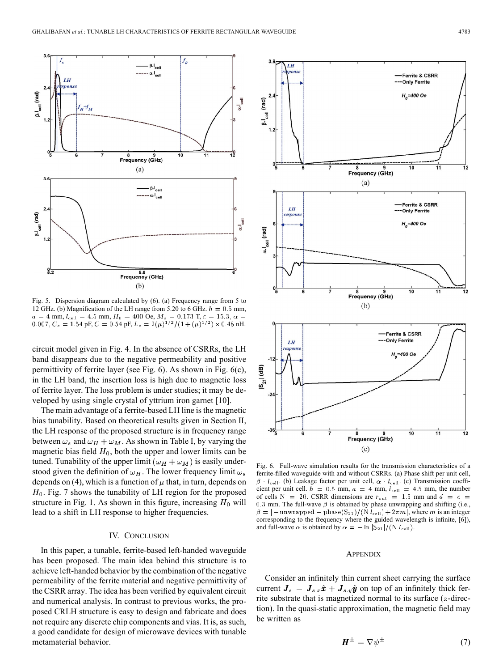

Fig. 5. Dispersion diagram calculated by (6). (a) Frequency range from 5 to 12 GHz. (b) Magnification of the LH range from 5.20 to 6 GHz.  $h = 0.5$  mm, mm,  $l_{cell} = 4.5$  mm,  $H_0 = 400$  Oe,  $M_s = 0.173$  T, pF,  $C = 0.54$  pF,  $L_c = 2(\mu)^{1/2}/(1+(\mu)^{1/2}) \times 0.48$  nH.

circuit model given in Fig. 4. In the absence of CSRRs, the LH band disappears due to the negative permeability and positive permittivity of ferrite layer (see Fig. 6). As shown in Fig. 6(c), in the LH band, the insertion loss is high due to magnetic loss of ferrite layer. The loss problem is under studies; it may be developed by using single crystal of yttrium iron garnet [10].

The main advantage of a ferrite-based LH line is the magnetic bias tunability. Based on theoretical results given in Section II, the LH response of the proposed structure is in frequency range between  $\omega_s$  and  $\omega_H + \omega_M$ . As shown in Table I, by varying the magnetic bias field  $H_0$ , both the upper and lower limits can be tuned. Tunability of the upper limit  $(\omega_H + \omega_M)$  is easily understood given the definition of  $\omega_H$ . The lower frequency limit  $\omega_s$ depends on (4), which is a function of  $\mu$  that, in turn, depends on  $H_0$ . Fig. 7 shows the tunability of LH region for the proposed structure in Fig. 1. As shown in this figure, increasing  $H_0$  will lead to a shift in LH response to higher frequencies.

# IV. CONCLUSION

In this paper, a tunable, ferrite-based left-handed waveguide has been proposed. The main idea behind this structure is to achieve left-handed behavior by the combination of the negative permeability of the ferrite material and negative permittivity of the CSRR array. The idea has been verified by equivalent circuit and numerical analysis. In contrast to previous works, the proposed CRLH structure is easy to design and fabricate and does not require any discrete chip components and vias. It is, as such, a good candidate for design of microwave devices with tunable metamaterial behavior.



Fig. 6. Full-wave simulation results for the transmission characteristics of a ferrite-filled waveguide with and without CSRRs. (a) Phase shift per unit cell,  $\beta$  ·  $l_{\text{cell}}$ . (b) Leakage factor per unit cell,  $\alpha$  ·  $l_{\text{cell}}$ . (c) Transmission coefficient per unit cell.  $h = 0.5$  mm,  $a = 4$  mm,  $l_{cell} = 4.5$  mm, the number of cells N = 20. CSRR dimensions are  $r_{\text{out}} = 1.5$  mm and  $d = c$  = 0.3 mm. The full-wave  $\beta$  is obtained by phase unwrapping and shifting (i.e.,  $\beta = |-$ unwrapped – phase(S<sub>21</sub>)/(N  $l_{\text{cell}}$ ) + 2 $\pi m$ , where m is an integer corresponding to the frequency where the guided wavelength is infinite, [6]), and full-wave  $\alpha$  is obtained by  $\alpha = -\ln |S_{21}| / (N l_{cell})$ .

#### **APPENDIX**

Consider an infinitely thin current sheet carrying the surface current  $J_s = J_{s,x}\hat{\boldsymbol{x}} + J_{s,y}\hat{\boldsymbol{y}}$  on top of an infinitely thick ferrite substrate that is magnetized normal to its surface  $(z$ -direction). In the quasi-static approximation, the magnetic field may be written as

$$
\boldsymbol{H}^{\pm} = \nabla \psi^{\pm} \tag{7}
$$